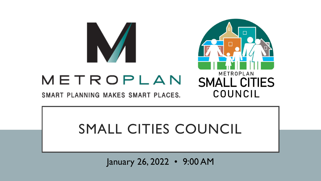

# METROPLAN

SMART PLANNING MAKES SMART PLACES.



# SMALL CITIES COUNCIL

January 26, 2022 • 9:00 AM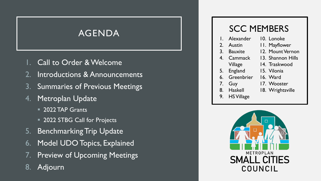- Call to Order & Welcome
- 2. Introductions & Announcements
- 3. Summaries of Previous Meetings
- 4. Metroplan Update
	- **2022 TAP Grants**
	- 2022 STBG Call for Projects
- 5. Benchmarking Trip Update
- 6. Model UDO Topics, Explained
- 7. Preview of Upcoming Meetings
- 8. Adjourn

## SCC MEMBERS

|    | Alexander         | 10. Lonoke        |
|----|-------------------|-------------------|
| 2. | Austin            | II. Mayflower     |
| 3. | <b>Bauxite</b>    | 12. Mount Vernon  |
| 4. | Cammack           | 13. Shannon Hills |
|    | Village           | 14. Traskwood     |
| 5. | <b>England</b>    | 15. Vilonia       |
| 6. | Greenbrier        | 16. Ward          |
| 7. | Guy               | 17. Wooster       |
|    | 8. Haskell        | 18. Wrightsville  |
| 9. | <b>HS Village</b> |                   |
|    |                   |                   |

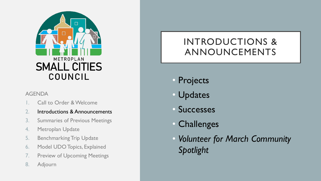

- Call to Order & Welcome
- 2. Introductions & Announcements
- 3. Summaries of Previous Meetings
- 4. Metroplan Update
- 5. Benchmarking Trip Update
- 6. Model UDO Topics, Explained
- 7. Preview of Upcoming Meetings
- 8. Adjourn

## INTRODUCTIONS & ANNOUNCEMENTS

- Projects
- Updates
- **Successes**
- Challenges
- *Volunteer for March Community Spotlight*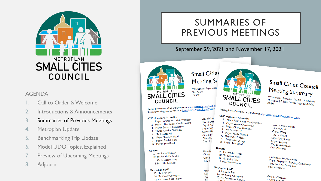

- 1. Call to Order & Welcome
- 2. Introductions & Announcements
- 3. Summaries of Previous Meetings
- 4. Metroplan Update
- 5. Benchmarking Trip Update
- 6. Model UDO Topics, Explained
- 7. Preview of Upcoming Meetings
- 8. Adjourn

## SUMMARIES OF PREVIOUS MEETINGS

### September 29, 2021 and November 17, 2021



**Small Cities Meeting Su** Wednesday, September Via Zoom **DRAFT** 

City of Shan

**City of Aus** 

City of Wa

City of Ha

City of Ma

City of Er

City of L

Little R

City of

City of

City o

Grap

CAF

Cor

Plar



**SCC Members Attending:** 

4. Ms. Jennifer Hill

5. Mayor Randy Holland<br>6. Mayor Randy Holland

6. Mayor Rangy Holland<br>7. Mayor Butch House

7. Mayor Butch House<br>8. Mayor Allan Loring

8. Mayor Trae Reed

9. Mr. Randall Green

10. Mr. Danny Hester

11. Ms. Claire Jolly

Metroplan Staff:

13. Ms. Lynn Bell

12. Mr. Mike Watson

14. Mr. Casey Covington

15. Ms. Bernadette Rhodes<br>16. Ms. Bernadette Rhodes

Guests:

2. Mayor Mike Kemp, Vice Pre

3. Mayor Bernie Chamberlair<br>3. Mayor Charles Gastineau<br>4. Ms. Jennifon Luc

Small Cities Council Meeting Summary

Wednesday, November 17, 2021 | 9:00 AM<br>Metroplan | Pulaski County Boot | 9:00 AM Medinesday, November 17, 2021 | 9:00 AM<br>Metroplan | Pulaski County Regional Building

Meeting PowerPoint slides are available at https://metroplan.org/small-city<br>Meeting PowerPoint slides are available at https://www.facebook.com/Metrop Meeting PowerPoint slides are available at https://med.page.com/Metror **SCC Members Attending:** City of Gree

- Members Accentures.<br>Mayor Sammy Hartwick, President
- 2. Mayor Mike Kemp, Vice President
- 3. Mayor Bernie Chamberlain
- 4. Mayor Charles Gastineau
- 5. Ms. Jennifer Hill
- Mayor Randy Holland 6.
- Mayor Butch House  $7<sub>1</sub>$ 8. Mayor Trae Reed

### **Guests:**

- 9. Mr. Randall Green 10. Mr. Randy McKenzie 11. Ms. Deborah Staley
- 12. Mr. Mike Stinnett
- **Metroplan Staff:** 13. Ms. Lynn Bell

14. Mr. Casey Covington 15. Ms. Bernadette Rhodes Meeting PowerPoint slides are available at https://metroplan.org/small-cities-council/<br>SCC Members Attending:<br>| Maximum Maximum Research **Thembers Attending:**<br>1. Mayor Mike Kemp, Vice President<br>2. Mayor Bernie Chamberl, Childen City of Shannon Hills City of Austin City of Ward City of Haskell City of Mayflower City of England City of Wrightsville City of Lonoke

> Little Rock Air Force Base<br>City of Mayflow Little Rock Air Force Base<br>City of Mayflower, Planning Commission<br>Little Rock Air Force Base Little Rock Air Force Base<br>Halff Associate Force Base Halff Associates

Graphics Specialist CARTS Study Dire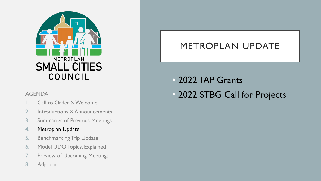

- Call to Order & Welcome
- 2. Introductions & Announcements
- 3. Summaries of Previous Meetings

### 4. Metroplan Update

- 5. Benchmarking Trip Update
- 6. Model UDO Topics, Explained
- 7. Preview of Upcoming Meetings
- 8. Adjourn

## METROPLAN UPDATE

- 2022 TAP Grants
- AGENDA **AGENDA 1999 12022 STBG Call for Projects**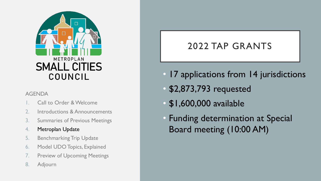

- Call to Order & Welcome
- 2. Introductions & Announcements
- 3. Summaries of Previous Meetings

### 4. Metroplan Update

- 5. Benchmarking Trip Update
- 6. Model UDO Topics, Explained
- 7. Preview of Upcoming Meetings
- 8. Adjourn

## 2022 TAP GRANTS

- 17 applications from 14 jurisdictions
- \$2,873,793 requested
- \$1,600,000 available
- Funding determination at Special Board meeting (10:00 AM)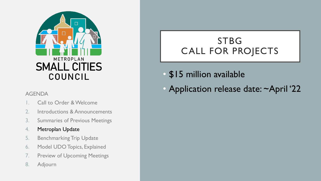

- Call to Order & Welcome
- 2. Introductions & Announcements
- 3. Summaries of Previous Meetings

### 4. Metroplan Update

- 5. Benchmarking Trip Update
- 6. Model UDO Topics, Explained
- 7. Preview of Upcoming Meetings
- 8. Adjourn

## STBG CALL FOR PROJECTS

- \$15 million available
- AGENDA  **Application release date: ~April '22**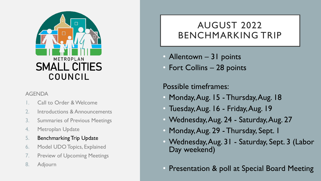

- Call to Order & Welcome
- 2. Introductions & Announcements
- 3. Summaries of Previous Meetings
- 4. Metroplan Update
- 5. Benchmarking Trip Update
- 6. Model UDO Topics, Explained
- 7. Preview of Upcoming Meetings
- 8. Adjourn

## AUGUST 2022 BENCHMARKING TRIP

- Allentown 31 points
- Fort Collins 28 points

## Possible timeframes:

- Monday, Aug. 15 Thursday, Aug. 18
- Tuesday, Aug. 16 Friday, Aug. 19
- Wednesday, Aug. 24 Saturday, Aug. 27
- Monday, Aug. 29 Thursday, Sept. 1
- Wednesday, Aug. 31 Saturday, Sept. 3 (Labor Day weekend)
- Presentation & poll at Special Board Meeting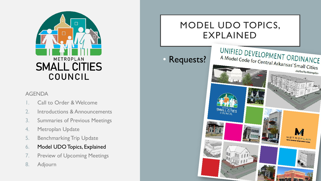

- Call to Order & Welcome
- 2. Introductions & Announcements
- 3. Summaries of Previous Meetings
- 4. Metroplan Update
- 5. Benchmarking Trip Update
- 6. Model UDO Topics, Explained
- 7. Preview of Upcoming Meetings
- 8. Adjourn

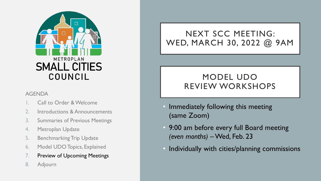

- Call to Order & Welcome
- 2. Introductions & Announcements
- 3. Summaries of Previous Meetings
- 4. Metroplan Update
- 5. Benchmarking Trip Update
- 6. Model UDO Topics, Explained
- 7. Preview of Upcoming Meetings
- 8. Adjourn

## NEXT SCC MEETING: WED, MARCH 30, 2022 @ 9AM

## MODEL UDO REVIEW WORKSHOPS

- Immediately following this meeting (same Zoom)
- 9:00 am before every full Board meeting *(even months)* –Wed, Feb. 23
- Individually with cities/planning commissions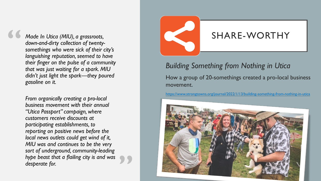*Made In Utica (MIU), a grassroots, down-and-dirty collection of twentysomethings who were sick of their city's languishing reputation, seemed to have their finger on the pulse of a community that was just waiting for a spark. MIU didn't just light the spark—they poured gasoline on it.*

**"**

*From organically creating a pro-local business movement with their annual "Utica Passport" campaign, where customers receive discounts at participating establishments, to reporting on positive news before the local news outlets could get wind of it, MIU was and continues to be the very sort of underground, community-leading hype beast that a flailing city is and was desperate for.*

**"**

## SHARE-WORTHY

*Building Something from Nothing in Utica* How a group of 20-somethings created a pro-local business movement.

<https://www.strongtowns.org/journal/2022/1/13/building-something-from-nothing-in-utica>